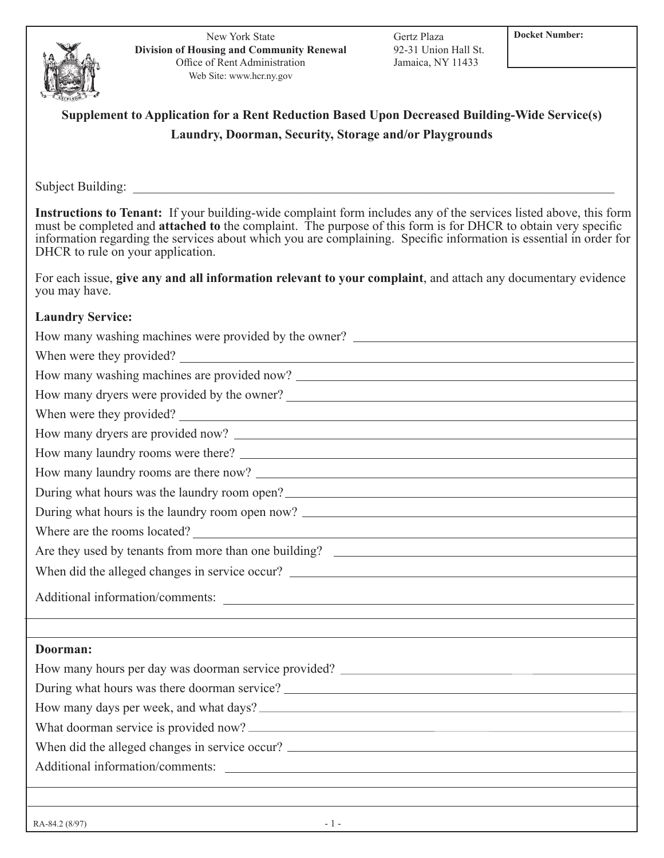New York State **Division of Housing and Community Renewal** Office of Rent Administration Web Site: www.hcr.ny.gov

Gertz Plaza **Docket Number:** 92-31 Union Hall St. Jamaica, NY 11433

## **Supplement to Application for a Rent Reduction Based Upon Decreased Building-Wide Service(s) Laundry, Doorman, Security, Storage and/or Playgrounds**

Subject Building:

**Instructions to Tenant:** If your building-wide complaint form includes any of the services listed above, this form must be completed and **attached to** the complaint. The purpose of this form is for DHCR to obtain very specific information regarding the services about which you are complaining. Specific information is essential in order for DHCR to rule on your application.

For each issue, **give any and all information relevant to your complaint**, and attach any documentary evidence you may have.

## **Laundry Service:**

 $RA-84.2$  (8/97)  $-1$  -